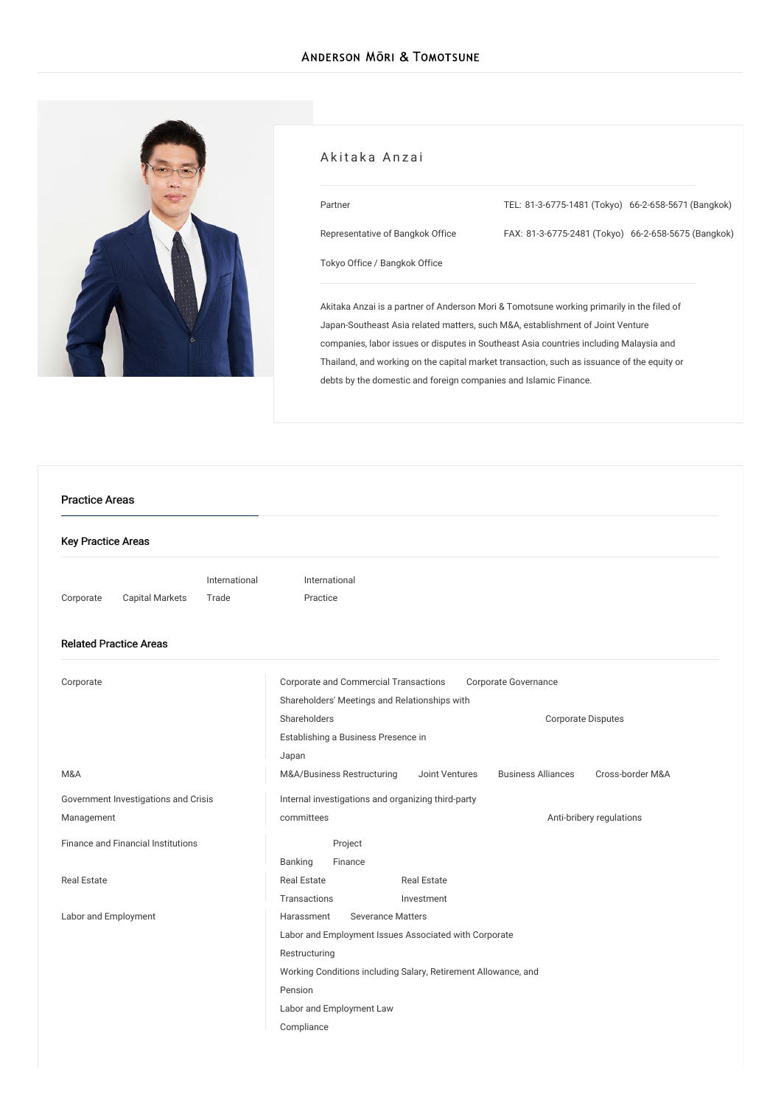

#### Akitaka Anzai

| Partner                          | TEL: 81-3-6775-1481 (Tokyo) 66-2-658-5671 (Bangkok) |  |
|----------------------------------|-----------------------------------------------------|--|
| Representative of Bangkok Office | FAX: 81-3-6775-2481 (Tokyo) 66-2-658-5675 (Bangkok) |  |
| Tokyo Office / Bangkok Office    |                                                     |  |

Akitaka Anzai is a partner of Anderson Mori & Tomotsune working primarily in the filed of Japan-Southeast Asia related matters, such M&A, establishment of Joint Venture companies, labor issues or disputes in Southeast Asia countries including Malaysia and Thailand, and working on the capital market transaction, such as issuance of the equity or debts by the domestic and foreign companies and Islamic Finance.

# Key Practice Areas [Corporate](/en/services/practices/corporate) Capital [Markets](/en/services/practices/capital-markets) [International](/en/services/practices/international-trade) Trade [Internationa](/en/services/practices/international-practice)l Practice Related Practice Areas [Corporate](/en/services/practices/corporate) Corporate and Commercial [Transactions](/en/services/practices/corporate/corporate-and-commercial-transactions) Corporate [Governance](/en/services/practices/corporate/corporate-governance) Shareholders' Meetings and [Relationships](/en/services/practices/corporate/shareholders-meetings-and-relationships-with-shareholders) with Shareholders **Community** [Corporate](/en/services/practices/corporate/corporate-disputes) Disputes [Establishing](/en/services/practices/corporate/establishing_a_business_presence_in_japan) a Business Presence in Japan [M&A](/en/services/practices/mergers-and-acquisitions) [M&A/Business](/en/services/practices/mergers-and-acquisitions/mergers-and-acquisitions_business-restructuring) Restructuring Joint [Ventures](/en/services/practices/mergers-and-acquisitions/joint-ventures) [Business](/en/services/practices/mergers-and-acquisitions/business-alliances) Alliances [Cross-border](/en/services/practices/mergers-and-acquisitions/cross-border-mergers-and-acquisitions) M&A Government [Investigations](/en/services/practices/government-investigation-crisis-management) and Crisis Management Internal [investigations](/en/services/practices/government-investigation-crisis-management/internal-investigations-and-organizing-third-party-committees) and organizing third-party committees **[Anti-bribery](/en/services/practices/government-investigation-crisis-management/anti-bribery-regulations) regulations** Finance and Financial [Institutions](/en/services/practices/finance-and-financial-institutions) [Banking](/en/services/practices/finance-and-financial-institutions/banking) Project [Finance](/en/services/practices/finance-and-financial-institutions/project-finance) Real [Estate](/en/services/practices/real-estate) **Real Estate** [Transactions](/en/services/practices/real-estate/real-estate-transactions) Real Estate [Investment](/en/services/practices/real-estate/real-estate-investment) Labor and [Employment](/en/services/practices/labor-and-employment) **[Harassment](/en/services/practices/labor-and-employment/harassment)** [Severance](/en/services/practices/labor-and-employment/severance-matters) Matters Labor and Employment Issues Associated with Corporate [Restructuring](/en/services/practices/labor-and-employment/labor-and-employment-issues-associated-with-corporate-restructuring) Working Conditions including Salary, [Retirement](/en/services/practices/labor-and-employment/working-conditions-including-salary_retirement-allowance_and-pension) Allowance, and Pension Labor and [Employment](/en/services/practices/labor-and-employment/labor-and-employment-law-compliance) Law Compliance Practice Areas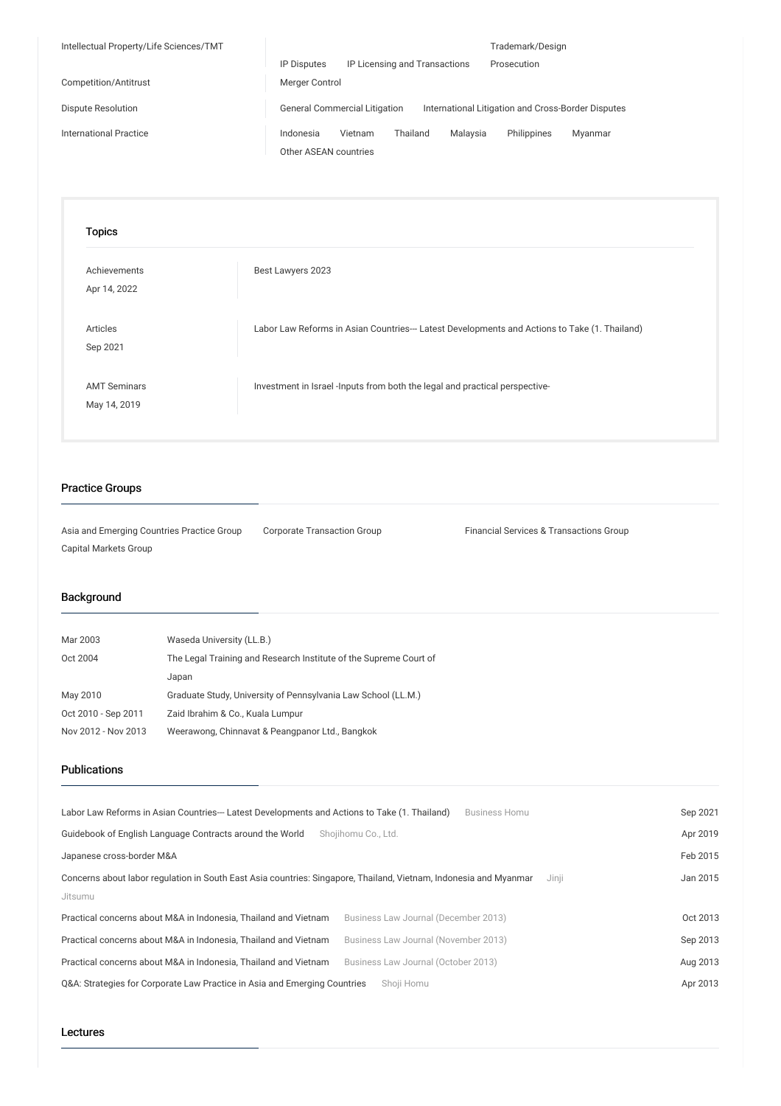| Intellectual Property/Life Sciences/TMT |                                                                                            | Trademark/Design       |  |
|-----------------------------------------|--------------------------------------------------------------------------------------------|------------------------|--|
|                                         | IP Licensing and Transactions<br><b>IP Disputes</b>                                        | Prosecution            |  |
| Competition/Antitrust                   | Merger Control                                                                             |                        |  |
| Dispute Resolution                      | <b>General Commercial Litigation</b><br>International Litigation and Cross-Border Disputes |                        |  |
| <b>International Practice</b>           | Thailand<br>Malavsia<br>Indonesia<br>Vietnam                                               | Philippines<br>Myanmar |  |
|                                         | Other ASEAN countries                                                                      |                        |  |

| <b>Topics</b>                       |                                                                                               |
|-------------------------------------|-----------------------------------------------------------------------------------------------|
| Achievements<br>Apr 14, 2022        | Best Lawyers 2023                                                                             |
| Articles<br>Sep 2021                | Labor Law Reforms in Asian Countries--- Latest Developments and Actions to Take (1. Thailand) |
| <b>AMT Seminars</b><br>May 14, 2019 | Investment in Israel -Inputs from both the legal and practical perspective-                   |

## Practice Groups

Asia and Emerging Countries Practice Group Corporate Transaction Group Financial Services & Transactions Group Capital Markets Group

## Background

| Mar 2003            | Waseda University (LL.B.)                                         |
|---------------------|-------------------------------------------------------------------|
| Oct 2004            | The Legal Training and Research Institute of the Supreme Court of |
|                     | Japan                                                             |
| May 2010            | Graduate Study, University of Pennsylvania Law School (LL.M.)     |
| Oct 2010 - Sep 2011 | Zaid Ibrahim & Co., Kuala Lumpur                                  |
| Nov 2012 - Nov 2013 | Weerawong, Chinnavat & Peangpanor Ltd., Bangkok                   |

### Publications

| Labor Law Reforms in Asian Countries--- Latest Developments and Actions to Take (1. Thailand)                              | <b>Business Homu</b>                 | Sep 2021 |
|----------------------------------------------------------------------------------------------------------------------------|--------------------------------------|----------|
| Guidebook of English Language Contracts around the World                                                                   | Shoiihomu Co., Ltd.                  | Apr 2019 |
| Japanese cross-border M&A                                                                                                  |                                      | Feb 2015 |
| Concerns about labor regulation in South East Asia countries: Singapore, Thailand, Vietnam, Indonesia and Myanmar<br>Jinji |                                      | Jan 2015 |
| Jitsumu                                                                                                                    |                                      |          |
| Practical concerns about M&A in Indonesia. Thailand and Vietnam                                                            | Business Law Journal (December 2013) | Oct 2013 |
| Practical concerns about M&A in Indonesia. Thailand and Vietnam                                                            | Business Law Journal (November 2013) | Sep 2013 |
| Practical concerns about M&A in Indonesia, Thailand and Vietnam                                                            | Business Law Journal (October 2013)  | Aug 2013 |
| Q&A: Strategies for Corporate Law Practice in Asia and Emerging Countries                                                  | Shoii Homu                           | Apr 2013 |